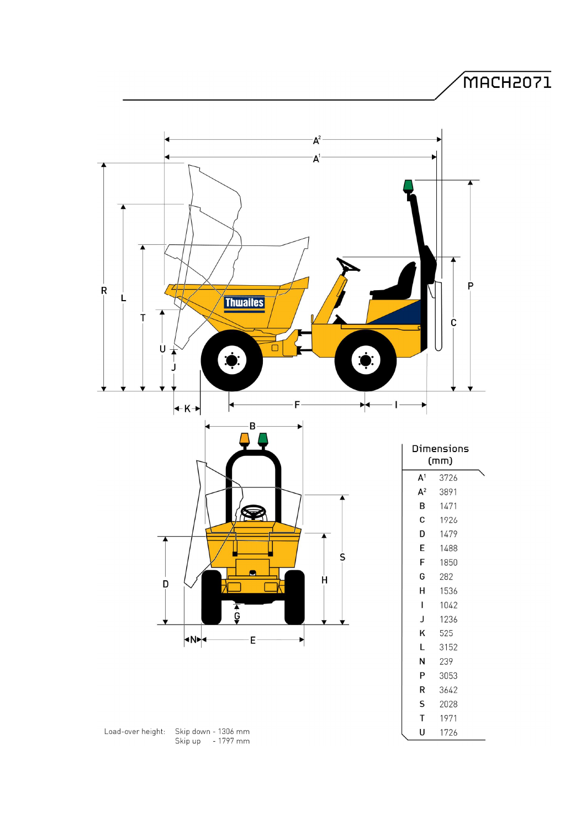